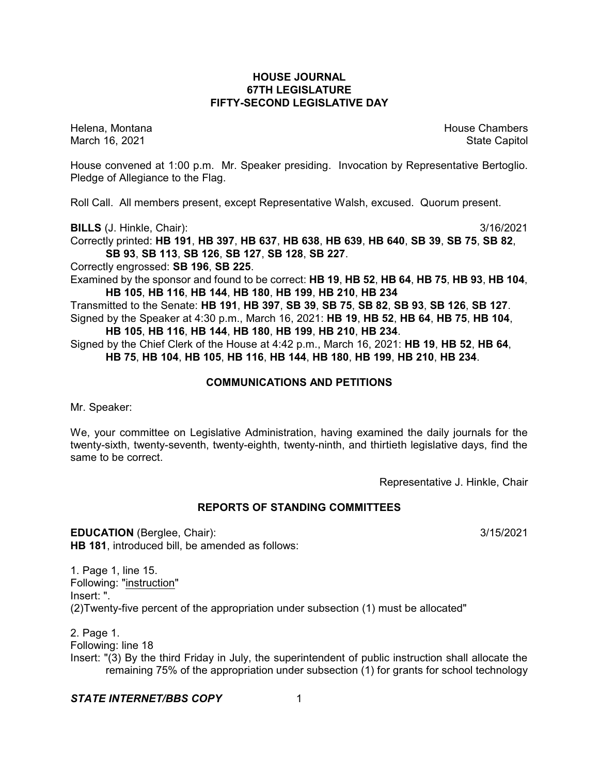## **HOUSE JOURNAL 67TH LEGISLATURE FIFTY-SECOND LEGISLATIVE DAY**

Helena, Montana House Chambers Chambers Chambers Chambers Chambers Chambers Chambers Chambers Chambers Chambers March 16, 2021 **State Capitol** 

House convened at 1:00 p.m. Mr. Speaker presiding. Invocation by Representative Bertoglio. Pledge of Allegiance to the Flag.

Roll Call. All members present, except Representative Walsh, excused. Quorum present.

**BILLS** (J. Hinkle, Chair): 3/16/2021

Correctly printed: **HB 191**, **HB 397**, **HB 637**, **HB 638**, **HB 639**, **HB 640**, **SB 39**, **SB 75**, **SB 82**,

**SB 93**, **SB 113**, **SB 126**, **SB 127**, **SB 128**, **SB 227**.

Correctly engrossed: **SB 196**, **SB 225**.

Examined by the sponsor and found to be correct: **HB 19**, **HB 52**, **HB 64**, **HB 75**, **HB 93**, **HB 104**, **HB 105**, **HB 116**, **HB 144**, **HB 180**, **HB 199**, **HB 210**, **HB 234**

Transmitted to the Senate: **HB 191**, **HB 397**, **SB 39**, **SB 75**, **SB 82**, **SB 93**, **SB 126**, **SB 127**. Signed by the Speaker at 4:30 p.m., March 16, 2021: **HB 19**, **HB 52**, **HB 64**, **HB 75**, **HB 104**, **HB 105**, **HB 116**, **HB 144**, **HB 180**, **HB 199**, **HB 210**, **HB 234**.

Signed by the Chief Clerk of the House at 4:42 p.m., March 16, 2021: **HB 19**, **HB 52**, **HB 64**, **HB 75**, **HB 104**, **HB 105**, **HB 116**, **HB 144**, **HB 180**, **HB 199**, **HB 210**, **HB 234**.

# **COMMUNICATIONS AND PETITIONS**

Mr. Speaker:

We, your committee on Legislative Administration, having examined the daily journals for the twenty-sixth, twenty-seventh, twenty-eighth, twenty-ninth, and thirtieth legislative days, find the same to be correct.

Representative J. Hinkle, Chair

## **REPORTS OF STANDING COMMITTEES**

**EDUCATION** (Berglee, Chair): 3/15/2021 **HB 181**, introduced bill, be amended as follows:

1. Page 1, line 15. Following: "instruction" Insert: ". (2)Twenty-five percent of the appropriation under subsection (1) must be allocated"

2. Page 1. Following: line 18 Insert: "(3) By the third Friday in July, the superintendent of public instruction shall allocate the remaining 75% of the appropriation under subsection (1) for grants for school technology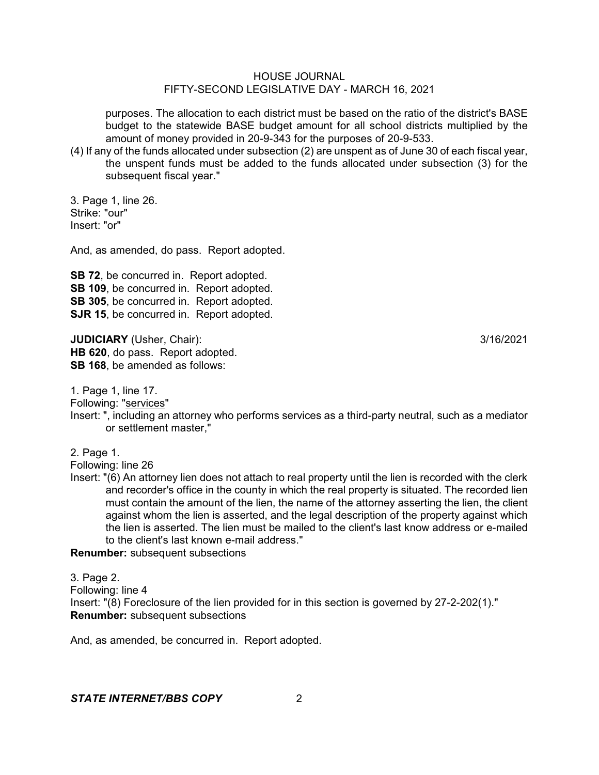purposes. The allocation to each district must be based on the ratio of the district's BASE budget to the statewide BASE budget amount for all school districts multiplied by the amount of money provided in 20-9-343 for the purposes of 20-9-533.

(4) If any of the funds allocated under subsection (2) are unspent as of June 30 of each fiscal year, the unspent funds must be added to the funds allocated under subsection (3) for the subsequent fiscal year."

3. Page 1, line 26. Strike: "our" Insert: "or"

And, as amended, do pass. Report adopted.

**SB 72, be concurred in. Report adopted. SB 109**, be concurred in. Report adopted. **SB 305**, be concurred in. Report adopted. **SJR 15**, be concurred in. Report adopted.

**JUDICIARY** (Usher, Chair): 3/16/2021 **HB 620**, do pass. Report adopted. **SB 168**, be amended as follows:

1. Page 1, line 17.

Following: "services"

Insert: ", including an attorney who performs services as a third-party neutral, such as a mediator or settlement master,"

2. Page 1.

Following: line 26

Insert: "(6) An attorney lien does not attach to real property until the lien is recorded with the clerk and recorder's office in the county in which the real property is situated. The recorded lien must contain the amount of the lien, the name of the attorney asserting the lien, the client against whom the lien is asserted, and the legal description of the property against which the lien is asserted. The lien must be mailed to the client's last know address or e-mailed to the client's last known e-mail address."

**Renumber:** subsequent subsections

3. Page 2. Following: line 4 Insert: "(8) Foreclosure of the lien provided for in this section is governed by 27-2-202(1)." **Renumber:** subsequent subsections

And, as amended, be concurred in. Report adopted.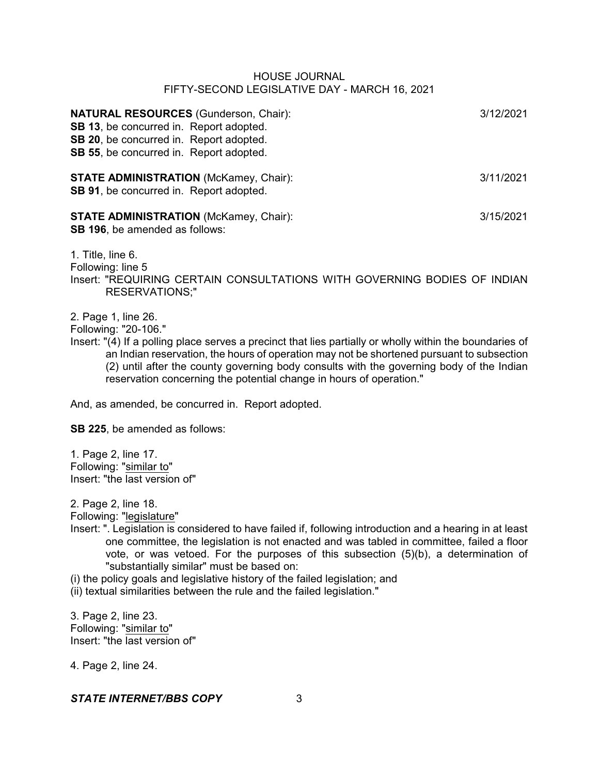| <b>NATURAL RESOURCES</b> (Gunderson, Chair):<br>SB 13, be concurred in. Report adopted.<br>SB 20, be concurred in. Report adopted.<br>SB 55, be concurred in. Report adopted. | 3/12/2021 |
|-------------------------------------------------------------------------------------------------------------------------------------------------------------------------------|-----------|
| <b>STATE ADMINISTRATION</b> (McKamey, Chair):<br>SB 91, be concurred in. Report adopted.                                                                                      | 3/11/2021 |
| <b>STATE ADMINISTRATION</b> (McKamey, Chair):<br><b>SB 196, be amended as follows:</b>                                                                                        | 3/15/2021 |
| 1. Title, line 6.<br>Following: line 5<br>Insert: "REQUIRING CERTAIN CONSULTATIONS WITH GOVERNING BODIES OF INDIAN<br><b>RESERVATIONS;"</b>                                   |           |

2. Page 1, line 26.

Following: "20-106."

Insert: "(4) If a polling place serves a precinct that lies partially or wholly within the boundaries of an Indian reservation, the hours of operation may not be shortened pursuant to subsection (2) until after the county governing body consults with the governing body of the Indian reservation concerning the potential change in hours of operation."

And, as amended, be concurred in. Report adopted.

**SB 225**, be amended as follows:

1. Page 2, line 17. Following: "similar to" Insert: "the last version of"

2. Page 2, line 18.

Following: "legislature"

Insert: ". Legislation is considered to have failed if, following introduction and a hearing in at least one committee, the legislation is not enacted and was tabled in committee, failed a floor vote, or was vetoed. For the purposes of this subsection (5)(b), a determination of "substantially similar" must be based on:

(i) the policy goals and legislative history of the failed legislation; and

(ii) textual similarities between the rule and the failed legislation."

3. Page 2, line 23. Following: "similar to" Insert: "the last version of"

4. Page 2, line 24.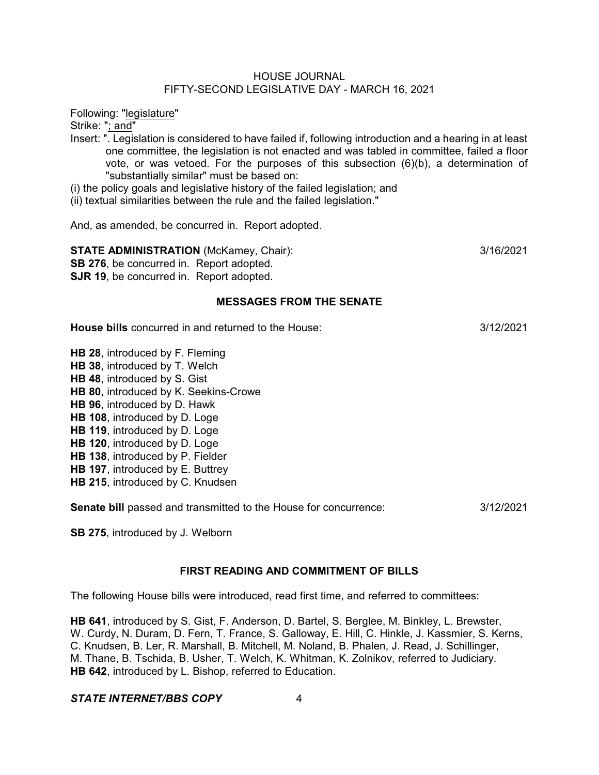Following: "legislature"

Strike: "; and"

- Insert: ". Legislation is considered to have failed if, following introduction and a hearing in at least one committee, the legislation is not enacted and was tabled in committee, failed a floor vote, or was vetoed. For the purposes of this subsection (6)(b), a determination of "substantially similar" must be based on:
- (i) the policy goals and legislative history of the failed legislation; and
- (ii) textual similarities between the rule and the failed legislation."

And, as amended, be concurred in. Report adopted.

**STATE ADMINISTRATION** (McKamey, Chair):  $\frac{3}{16/2021}$ 

**SB 276**, be concurred in. Report adopted. **SJR 19.** be concurred in. Report adopted.

## **MESSAGES FROM THE SENATE**

**House bills** concurred in and returned to the House: 3/12/2021

**HB 28**, introduced by F. Fleming **HB 38**, introduced by T. Welch **HB 48**, introduced by S. Gist **HB 80**, introduced by K. Seekins-Crowe **HB 96**, introduced by D. Hawk **HB 108**, introduced by D. Loge **HB 119**, introduced by D. Loge **HB 120**, introduced by D. Loge **HB 138**, introduced by P. Fielder **HB 197**, introduced by E. Buttrey **HB 215**, introduced by C. Knudsen

**Senate bill** passed and transmitted to the House for concurrence: 3/12/2021

**SB 275**, introduced by J. Welborn

# **FIRST READING AND COMMITMENT OF BILLS**

The following House bills were introduced, read first time, and referred to committees:

**HB 641**, introduced by S. Gist, F. Anderson, D. Bartel, S. Berglee, M. Binkley, L. Brewster, W. Curdy, N. Duram, D. Fern, T. France, S. Galloway, E. Hill, C. Hinkle, J. Kassmier, S. Kerns, C. Knudsen, B. Ler, R. Marshall, B. Mitchell, M. Noland, B. Phalen, J. Read, J. Schillinger, M. Thane, B. Tschida, B. Usher, T. Welch, K. Whitman, K. Zolnikov, referred to Judiciary. **HB 642**, introduced by L. Bishop, referred to Education.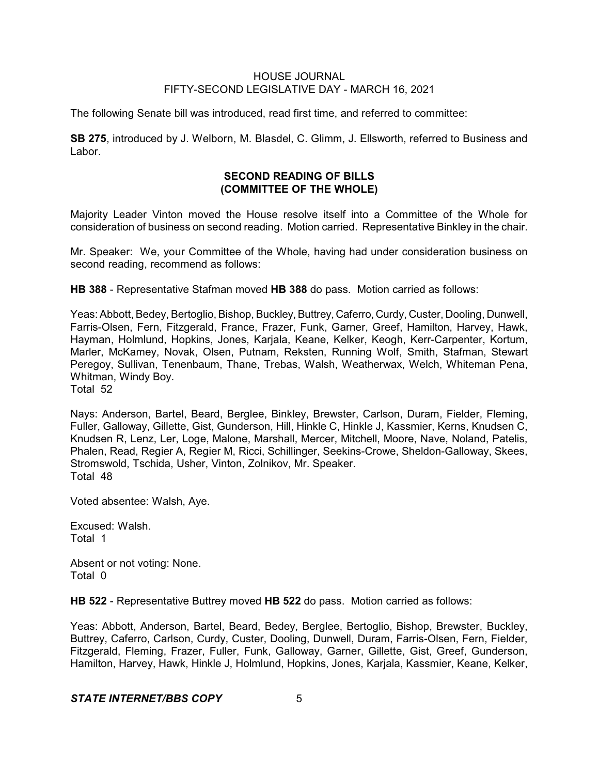The following Senate bill was introduced, read first time, and referred to committee:

**SB 275**, introduced by J. Welborn, M. Blasdel, C. Glimm, J. Ellsworth, referred to Business and Labor.

# **SECOND READING OF BILLS (COMMITTEE OF THE WHOLE)**

Majority Leader Vinton moved the House resolve itself into a Committee of the Whole for consideration of business on second reading. Motion carried. Representative Binkley in the chair.

Mr. Speaker: We, your Committee of the Whole, having had under consideration business on second reading, recommend as follows:

**HB 388** - Representative Stafman moved **HB 388** do pass. Motion carried as follows:

Yeas: Abbott, Bedey, Bertoglio, Bishop, Buckley, Buttrey, Caferro, Curdy, Custer, Dooling, Dunwell, Farris-Olsen, Fern, Fitzgerald, France, Frazer, Funk, Garner, Greef, Hamilton, Harvey, Hawk, Hayman, Holmlund, Hopkins, Jones, Karjala, Keane, Kelker, Keogh, Kerr-Carpenter, Kortum, Marler, McKamey, Novak, Olsen, Putnam, Reksten, Running Wolf, Smith, Stafman, Stewart Peregoy, Sullivan, Tenenbaum, Thane, Trebas, Walsh, Weatherwax, Welch, Whiteman Pena, Whitman, Windy Boy.

Total 52

Nays: Anderson, Bartel, Beard, Berglee, Binkley, Brewster, Carlson, Duram, Fielder, Fleming, Fuller, Galloway, Gillette, Gist, Gunderson, Hill, Hinkle C, Hinkle J, Kassmier, Kerns, Knudsen C, Knudsen R, Lenz, Ler, Loge, Malone, Marshall, Mercer, Mitchell, Moore, Nave, Noland, Patelis, Phalen, Read, Regier A, Regier M, Ricci, Schillinger, Seekins-Crowe, Sheldon-Galloway, Skees, Stromswold, Tschida, Usher, Vinton, Zolnikov, Mr. Speaker. Total 48

Voted absentee: Walsh, Aye.

Excused: Walsh. Total 1

Absent or not voting: None. Total 0

**HB 522** - Representative Buttrey moved **HB 522** do pass. Motion carried as follows:

Yeas: Abbott, Anderson, Bartel, Beard, Bedey, Berglee, Bertoglio, Bishop, Brewster, Buckley, Buttrey, Caferro, Carlson, Curdy, Custer, Dooling, Dunwell, Duram, Farris-Olsen, Fern, Fielder, Fitzgerald, Fleming, Frazer, Fuller, Funk, Galloway, Garner, Gillette, Gist, Greef, Gunderson, Hamilton, Harvey, Hawk, Hinkle J, Holmlund, Hopkins, Jones, Karjala, Kassmier, Keane, Kelker,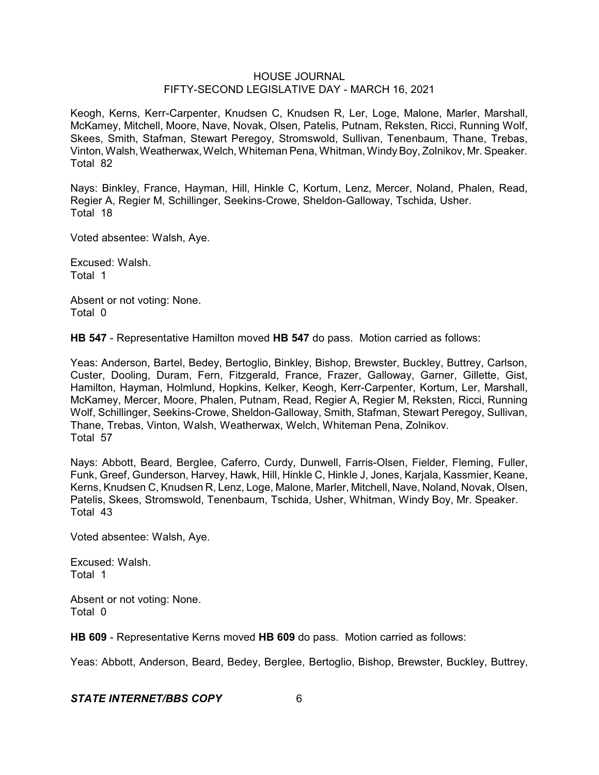Keogh, Kerns, Kerr-Carpenter, Knudsen C, Knudsen R, Ler, Loge, Malone, Marler, Marshall, McKamey, Mitchell, Moore, Nave, Novak, Olsen, Patelis, Putnam, Reksten, Ricci, Running Wolf, Skees, Smith, Stafman, Stewart Peregoy, Stromswold, Sullivan, Tenenbaum, Thane, Trebas, Vinton, Walsh, Weatherwax, Welch, Whiteman Pena, Whitman, Windy Boy, Zolnikov, Mr. Speaker. Total 82

Nays: Binkley, France, Hayman, Hill, Hinkle C, Kortum, Lenz, Mercer, Noland, Phalen, Read, Regier A, Regier M, Schillinger, Seekins-Crowe, Sheldon-Galloway, Tschida, Usher. Total 18

Voted absentee: Walsh, Aye.

Excused: Walsh. Total 1

Absent or not voting: None. Total 0

**HB 547** - Representative Hamilton moved **HB 547** do pass. Motion carried as follows:

Yeas: Anderson, Bartel, Bedey, Bertoglio, Binkley, Bishop, Brewster, Buckley, Buttrey, Carlson, Custer, Dooling, Duram, Fern, Fitzgerald, France, Frazer, Galloway, Garner, Gillette, Gist, Hamilton, Hayman, Holmlund, Hopkins, Kelker, Keogh, Kerr-Carpenter, Kortum, Ler, Marshall, McKamey, Mercer, Moore, Phalen, Putnam, Read, Regier A, Regier M, Reksten, Ricci, Running Wolf, Schillinger, Seekins-Crowe, Sheldon-Galloway, Smith, Stafman, Stewart Peregoy, Sullivan, Thane, Trebas, Vinton, Walsh, Weatherwax, Welch, Whiteman Pena, Zolnikov. Total 57

Nays: Abbott, Beard, Berglee, Caferro, Curdy, Dunwell, Farris-Olsen, Fielder, Fleming, Fuller, Funk, Greef, Gunderson, Harvey, Hawk, Hill, Hinkle C, Hinkle J, Jones, Karjala, Kassmier, Keane, Kerns, Knudsen C, Knudsen R, Lenz, Loge, Malone, Marler, Mitchell, Nave, Noland, Novak, Olsen, Patelis, Skees, Stromswold, Tenenbaum, Tschida, Usher, Whitman, Windy Boy, Mr. Speaker. Total 43

Voted absentee: Walsh, Aye.

Excused: Walsh. Total 1

Absent or not voting: None. Total 0

**HB 609** - Representative Kerns moved **HB 609** do pass. Motion carried as follows:

Yeas: Abbott, Anderson, Beard, Bedey, Berglee, Bertoglio, Bishop, Brewster, Buckley, Buttrey,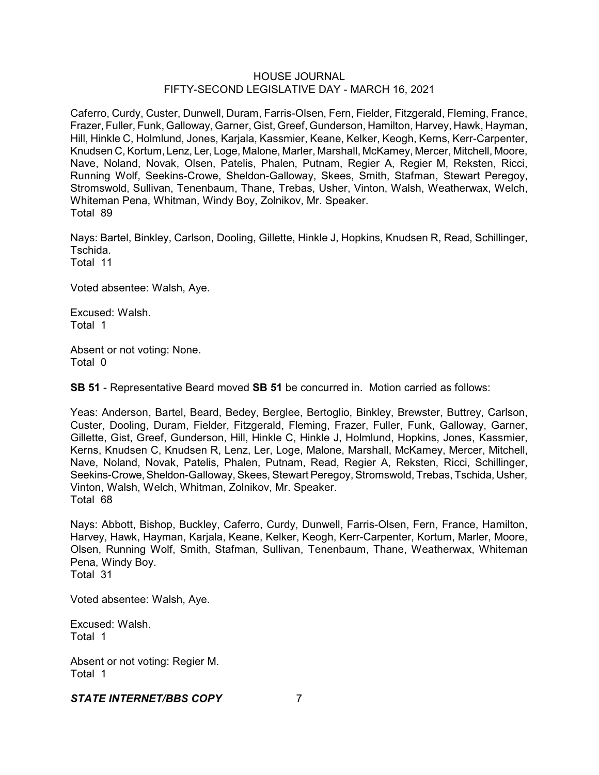Caferro, Curdy, Custer, Dunwell, Duram, Farris-Olsen, Fern, Fielder, Fitzgerald, Fleming, France, Frazer, Fuller, Funk, Galloway, Garner, Gist, Greef, Gunderson, Hamilton, Harvey, Hawk, Hayman, Hill, Hinkle C, Holmlund, Jones, Karjala, Kassmier, Keane, Kelker, Keogh, Kerns, Kerr-Carpenter, Knudsen C, Kortum, Lenz, Ler, Loge, Malone, Marler, Marshall, McKamey, Mercer, Mitchell, Moore, Nave, Noland, Novak, Olsen, Patelis, Phalen, Putnam, Regier A, Regier M, Reksten, Ricci, Running Wolf, Seekins-Crowe, Sheldon-Galloway, Skees, Smith, Stafman, Stewart Peregoy, Stromswold, Sullivan, Tenenbaum, Thane, Trebas, Usher, Vinton, Walsh, Weatherwax, Welch, Whiteman Pena, Whitman, Windy Boy, Zolnikov, Mr. Speaker. Total 89

Nays: Bartel, Binkley, Carlson, Dooling, Gillette, Hinkle J, Hopkins, Knudsen R, Read, Schillinger, Tschida.

Total 11

Voted absentee: Walsh, Aye.

Excused: Walsh. Total 1

Absent or not voting: None. Total 0

**SB 51** - Representative Beard moved **SB 51** be concurred in. Motion carried as follows:

Yeas: Anderson, Bartel, Beard, Bedey, Berglee, Bertoglio, Binkley, Brewster, Buttrey, Carlson, Custer, Dooling, Duram, Fielder, Fitzgerald, Fleming, Frazer, Fuller, Funk, Galloway, Garner, Gillette, Gist, Greef, Gunderson, Hill, Hinkle C, Hinkle J, Holmlund, Hopkins, Jones, Kassmier, Kerns, Knudsen C, Knudsen R, Lenz, Ler, Loge, Malone, Marshall, McKamey, Mercer, Mitchell, Nave, Noland, Novak, Patelis, Phalen, Putnam, Read, Regier A, Reksten, Ricci, Schillinger, Seekins-Crowe, Sheldon-Galloway, Skees, Stewart Peregoy, Stromswold, Trebas, Tschida, Usher, Vinton, Walsh, Welch, Whitman, Zolnikov, Mr. Speaker. Total 68

Nays: Abbott, Bishop, Buckley, Caferro, Curdy, Dunwell, Farris-Olsen, Fern, France, Hamilton, Harvey, Hawk, Hayman, Karjala, Keane, Kelker, Keogh, Kerr-Carpenter, Kortum, Marler, Moore, Olsen, Running Wolf, Smith, Stafman, Sullivan, Tenenbaum, Thane, Weatherwax, Whiteman Pena, Windy Boy. Total 31

Voted absentee: Walsh, Aye.

Excused: Walsh. Total 1

Absent or not voting: Regier M. Total 1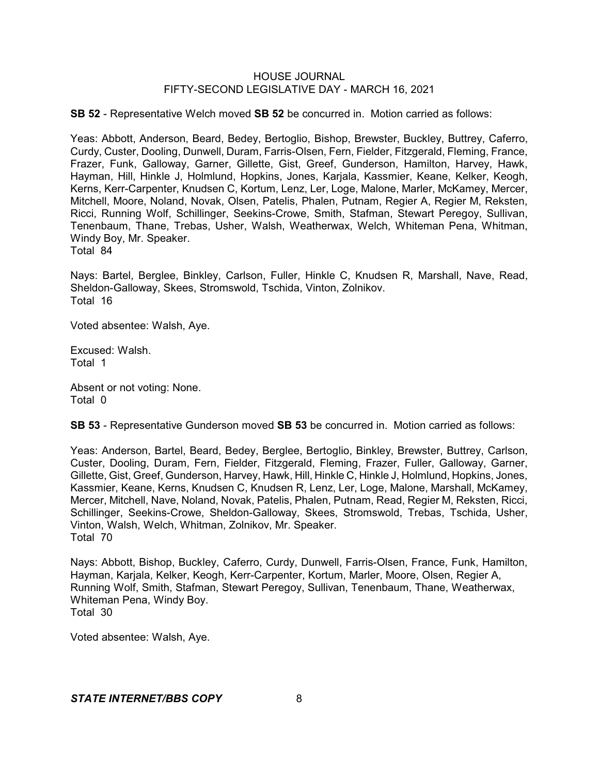**SB 52** - Representative Welch moved **SB 52** be concurred in. Motion carried as follows:

Yeas: Abbott, Anderson, Beard, Bedey, Bertoglio, Bishop, Brewster, Buckley, Buttrey, Caferro, Curdy, Custer, Dooling, Dunwell, Duram, Farris-Olsen, Fern, Fielder, Fitzgerald, Fleming, France, Frazer, Funk, Galloway, Garner, Gillette, Gist, Greef, Gunderson, Hamilton, Harvey, Hawk, Hayman, Hill, Hinkle J, Holmlund, Hopkins, Jones, Karjala, Kassmier, Keane, Kelker, Keogh, Kerns, Kerr-Carpenter, Knudsen C, Kortum, Lenz, Ler, Loge, Malone, Marler, McKamey, Mercer, Mitchell, Moore, Noland, Novak, Olsen, Patelis, Phalen, Putnam, Regier A, Regier M, Reksten, Ricci, Running Wolf, Schillinger, Seekins-Crowe, Smith, Stafman, Stewart Peregoy, Sullivan, Tenenbaum, Thane, Trebas, Usher, Walsh, Weatherwax, Welch, Whiteman Pena, Whitman, Windy Boy, Mr. Speaker. Total 84

Nays: Bartel, Berglee, Binkley, Carlson, Fuller, Hinkle C, Knudsen R, Marshall, Nave, Read, Sheldon-Galloway, Skees, Stromswold, Tschida, Vinton, Zolnikov. Total 16

Voted absentee: Walsh, Aye.

Excused: Walsh. Total 1

Absent or not voting: None. Total 0

**SB 53** - Representative Gunderson moved **SB 53** be concurred in. Motion carried as follows:

Yeas: Anderson, Bartel, Beard, Bedey, Berglee, Bertoglio, Binkley, Brewster, Buttrey, Carlson, Custer, Dooling, Duram, Fern, Fielder, Fitzgerald, Fleming, Frazer, Fuller, Galloway, Garner, Gillette, Gist, Greef, Gunderson, Harvey, Hawk, Hill, Hinkle C, Hinkle J, Holmlund, Hopkins, Jones, Kassmier, Keane, Kerns, Knudsen C, Knudsen R, Lenz, Ler, Loge, Malone, Marshall, McKamey, Mercer, Mitchell, Nave, Noland, Novak, Patelis, Phalen, Putnam, Read, Regier M, Reksten, Ricci, Schillinger, Seekins-Crowe, Sheldon-Galloway, Skees, Stromswold, Trebas, Tschida, Usher, Vinton, Walsh, Welch, Whitman, Zolnikov, Mr. Speaker. Total 70

Nays: Abbott, Bishop, Buckley, Caferro, Curdy, Dunwell, Farris-Olsen, France, Funk, Hamilton, Hayman, Karjala, Kelker, Keogh, Kerr-Carpenter, Kortum, Marler, Moore, Olsen, Regier A, Running Wolf, Smith, Stafman, Stewart Peregoy, Sullivan, Tenenbaum, Thane, Weatherwax, Whiteman Pena, Windy Boy. Total 30

Voted absentee: Walsh, Aye.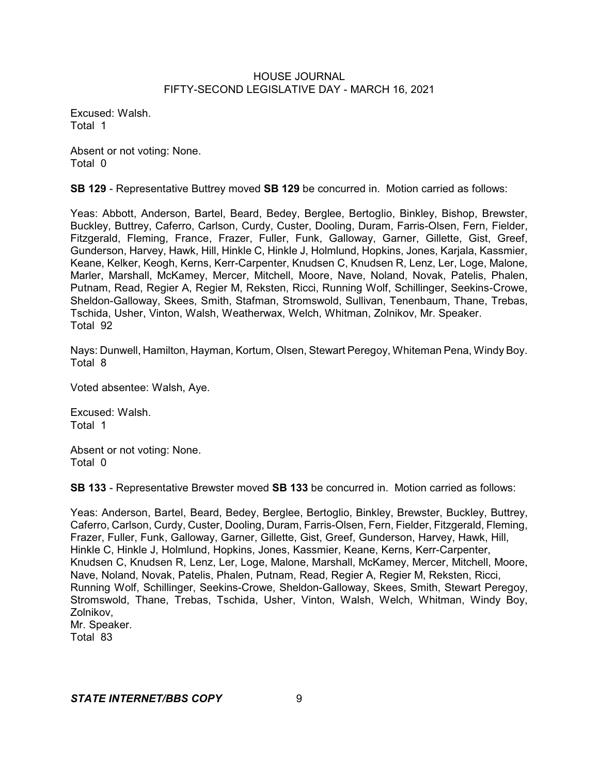Excused: Walsh. Total 1

Absent or not voting: None. Total 0

**SB 129** - Representative Buttrey moved **SB 129** be concurred in. Motion carried as follows:

Yeas: Abbott, Anderson, Bartel, Beard, Bedey, Berglee, Bertoglio, Binkley, Bishop, Brewster, Buckley, Buttrey, Caferro, Carlson, Curdy, Custer, Dooling, Duram, Farris-Olsen, Fern, Fielder, Fitzgerald, Fleming, France, Frazer, Fuller, Funk, Galloway, Garner, Gillette, Gist, Greef, Gunderson, Harvey, Hawk, Hill, Hinkle C, Hinkle J, Holmlund, Hopkins, Jones, Karjala, Kassmier, Keane, Kelker, Keogh, Kerns, Kerr-Carpenter, Knudsen C, Knudsen R, Lenz, Ler, Loge, Malone, Marler, Marshall, McKamey, Mercer, Mitchell, Moore, Nave, Noland, Novak, Patelis, Phalen, Putnam, Read, Regier A, Regier M, Reksten, Ricci, Running Wolf, Schillinger, Seekins-Crowe, Sheldon-Galloway, Skees, Smith, Stafman, Stromswold, Sullivan, Tenenbaum, Thane, Trebas, Tschida, Usher, Vinton, Walsh, Weatherwax, Welch, Whitman, Zolnikov, Mr. Speaker. Total 92

Nays: Dunwell, Hamilton, Hayman, Kortum, Olsen, Stewart Peregoy, Whiteman Pena, Windy Boy. Total 8

Voted absentee: Walsh, Aye.

Excused: Walsh. Total 1

Absent or not voting: None. Total 0

**SB 133** - Representative Brewster moved **SB 133** be concurred in. Motion carried as follows:

Yeas: Anderson, Bartel, Beard, Bedey, Berglee, Bertoglio, Binkley, Brewster, Buckley, Buttrey, Caferro, Carlson, Curdy, Custer, Dooling, Duram, Farris-Olsen, Fern, Fielder, Fitzgerald, Fleming, Frazer, Fuller, Funk, Galloway, Garner, Gillette, Gist, Greef, Gunderson, Harvey, Hawk, Hill, Hinkle C, Hinkle J, Holmlund, Hopkins, Jones, Kassmier, Keane, Kerns, Kerr-Carpenter, Knudsen C, Knudsen R, Lenz, Ler, Loge, Malone, Marshall, McKamey, Mercer, Mitchell, Moore, Nave, Noland, Novak, Patelis, Phalen, Putnam, Read, Regier A, Regier M, Reksten, Ricci, Running Wolf, Schillinger, Seekins-Crowe, Sheldon-Galloway, Skees, Smith, Stewart Peregoy, Stromswold, Thane, Trebas, Tschida, Usher, Vinton, Walsh, Welch, Whitman, Windy Boy, Zolnikov, Mr. Speaker. Total 83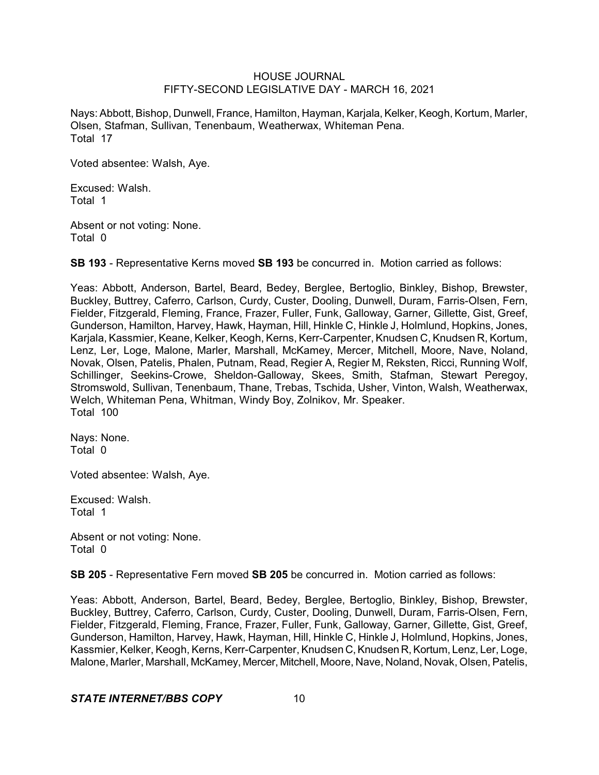Nays: Abbott, Bishop, Dunwell, France, Hamilton, Hayman, Karjala, Kelker, Keogh, Kortum, Marler, Olsen, Stafman, Sullivan, Tenenbaum, Weatherwax, Whiteman Pena. Total 17

Voted absentee: Walsh, Aye.

Excused: Walsh. Total 1

Absent or not voting: None. Total 0

**SB 193** - Representative Kerns moved **SB 193** be concurred in. Motion carried as follows:

Yeas: Abbott, Anderson, Bartel, Beard, Bedey, Berglee, Bertoglio, Binkley, Bishop, Brewster, Buckley, Buttrey, Caferro, Carlson, Curdy, Custer, Dooling, Dunwell, Duram, Farris-Olsen, Fern, Fielder, Fitzgerald, Fleming, France, Frazer, Fuller, Funk, Galloway, Garner, Gillette, Gist, Greef, Gunderson, Hamilton, Harvey, Hawk, Hayman, Hill, Hinkle C, Hinkle J, Holmlund, Hopkins, Jones, Karjala, Kassmier, Keane, Kelker, Keogh, Kerns, Kerr-Carpenter, Knudsen C, Knudsen R, Kortum, Lenz, Ler, Loge, Malone, Marler, Marshall, McKamey, Mercer, Mitchell, Moore, Nave, Noland, Novak, Olsen, Patelis, Phalen, Putnam, Read, Regier A, Regier M, Reksten, Ricci, Running Wolf, Schillinger, Seekins-Crowe, Sheldon-Galloway, Skees, Smith, Stafman, Stewart Peregoy, Stromswold, Sullivan, Tenenbaum, Thane, Trebas, Tschida, Usher, Vinton, Walsh, Weatherwax, Welch, Whiteman Pena, Whitman, Windy Boy, Zolnikov, Mr. Speaker. Total 100

Nays: None. Total 0

Voted absentee: Walsh, Aye.

Excused: Walsh. Total 1

Absent or not voting: None. Total 0

**SB 205** - Representative Fern moved **SB 205** be concurred in. Motion carried as follows:

Yeas: Abbott, Anderson, Bartel, Beard, Bedey, Berglee, Bertoglio, Binkley, Bishop, Brewster, Buckley, Buttrey, Caferro, Carlson, Curdy, Custer, Dooling, Dunwell, Duram, Farris-Olsen, Fern, Fielder, Fitzgerald, Fleming, France, Frazer, Fuller, Funk, Galloway, Garner, Gillette, Gist, Greef, Gunderson, Hamilton, Harvey, Hawk, Hayman, Hill, Hinkle C, Hinkle J, Holmlund, Hopkins, Jones, Kassmier, Kelker, Keogh, Kerns, Kerr-Carpenter, Knudsen C, Knudsen R, Kortum, Lenz, Ler, Loge, Malone, Marler, Marshall, McKamey, Mercer, Mitchell, Moore, Nave, Noland, Novak, Olsen, Patelis,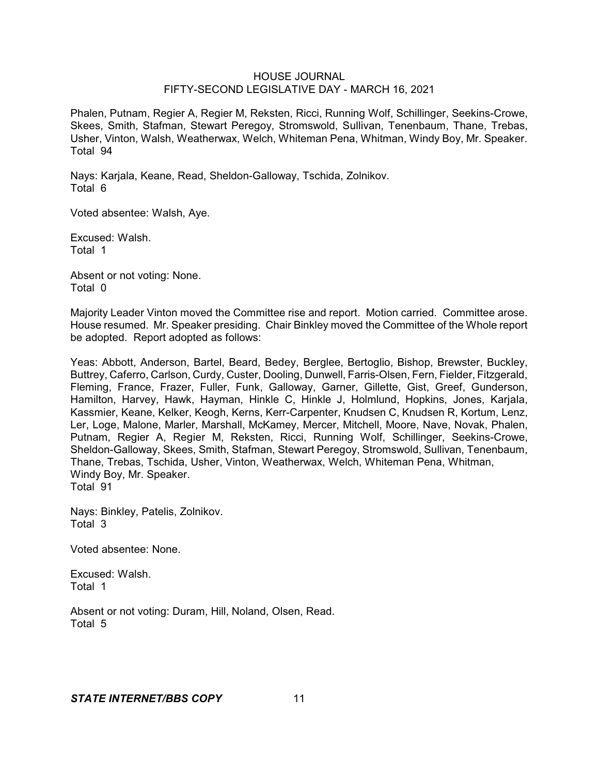Phalen, Putnam, Regier A, Regier M, Reksten, Ricci, Running Wolf, Schillinger, Seekins-Crowe, Skees, Smith, Stafman, Stewart Peregoy, Stromswold, Sullivan, Tenenbaum, Thane, Trebas, Usher, Vinton, Walsh, Weatherwax, Welch, Whiteman Pena, Whitman, Windy Boy, Mr. Speaker. Total 94

Nays: Karjala, Keane, Read, Sheldon-Galloway, Tschida, Zolnikov. Total 6

Voted absentee: Walsh, Aye.

Excused: Walsh. Total 1

Absent or not voting: None. Total 0

Majority Leader Vinton moved the Committee rise and report. Motion carried. Committee arose. House resumed. Mr. Speaker presiding. Chair Binkley moved the Committee of the Whole report be adopted. Report adopted as follows:

Yeas: Abbott, Anderson, Bartel, Beard, Bedey, Berglee, Bertoglio, Bishop, Brewster, Buckley, Buttrey, Caferro, Carlson, Curdy, Custer, Dooling, Dunwell, Farris-Olsen, Fern, Fielder, Fitzgerald, Fleming, France, Frazer, Fuller, Funk, Galloway, Garner, Gillette, Gist, Greef, Gunderson, Hamilton, Harvey, Hawk, Hayman, Hinkle C, Hinkle J, Holmlund, Hopkins, Jones, Karjala, Kassmier, Keane, Kelker, Keogh, Kerns, Kerr-Carpenter, Knudsen C, Knudsen R, Kortum, Lenz, Ler, Loge, Malone, Marler, Marshall, McKamey, Mercer, Mitchell, Moore, Nave, Novak, Phalen, Putnam, Regier A, Regier M, Reksten, Ricci, Running Wolf, Schillinger, Seekins-Crowe, Sheldon-Galloway, Skees, Smith, Stafman, Stewart Peregoy, Stromswold, Sullivan, Tenenbaum, Thane, Trebas, Tschida, Usher, Vinton, Weatherwax, Welch, Whiteman Pena, Whitman, Windy Boy, Mr. Speaker. Total 91

Nays: Binkley, Patelis, Zolnikov. Total 3

Voted absentee: None.

Excused: Walsh. Total 1

Absent or not voting: Duram, Hill, Noland, Olsen, Read. Total 5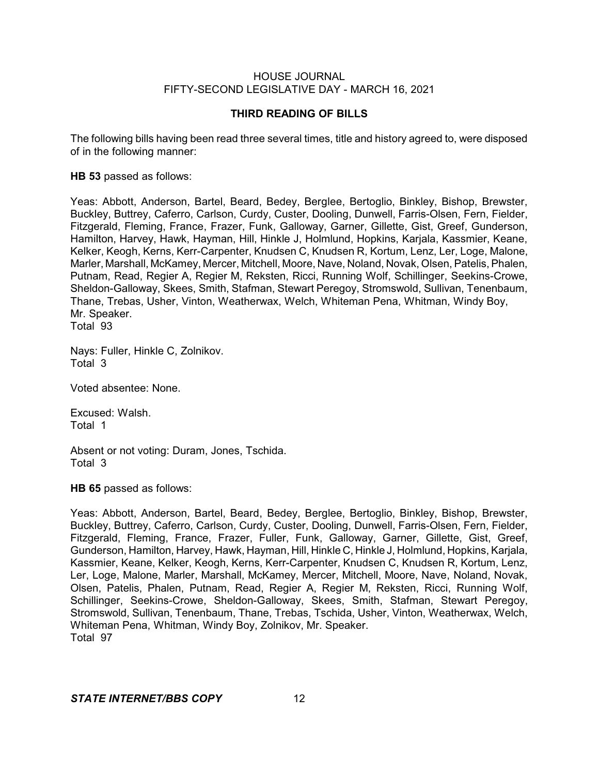## **THIRD READING OF BILLS**

The following bills having been read three several times, title and history agreed to, were disposed of in the following manner:

## **HB 53** passed as follows:

Yeas: Abbott, Anderson, Bartel, Beard, Bedey, Berglee, Bertoglio, Binkley, Bishop, Brewster, Buckley, Buttrey, Caferro, Carlson, Curdy, Custer, Dooling, Dunwell, Farris-Olsen, Fern, Fielder, Fitzgerald, Fleming, France, Frazer, Funk, Galloway, Garner, Gillette, Gist, Greef, Gunderson, Hamilton, Harvey, Hawk, Hayman, Hill, Hinkle J, Holmlund, Hopkins, Karjala, Kassmier, Keane, Kelker, Keogh, Kerns, Kerr-Carpenter, Knudsen C, Knudsen R, Kortum, Lenz, Ler, Loge, Malone, Marler, Marshall, McKamey, Mercer, Mitchell, Moore, Nave, Noland, Novak, Olsen, Patelis, Phalen, Putnam, Read, Regier A, Regier M, Reksten, Ricci, Running Wolf, Schillinger, Seekins-Crowe, Sheldon-Galloway, Skees, Smith, Stafman, Stewart Peregoy, Stromswold, Sullivan, Tenenbaum, Thane, Trebas, Usher, Vinton, Weatherwax, Welch, Whiteman Pena, Whitman, Windy Boy, Mr. Speaker.

Total 93

Nays: Fuller, Hinkle C, Zolnikov. Total 3

Voted absentee: None.

Excused: Walsh. Total 1

Absent or not voting: Duram, Jones, Tschida. Total 3

**HB 65** passed as follows:

Yeas: Abbott, Anderson, Bartel, Beard, Bedey, Berglee, Bertoglio, Binkley, Bishop, Brewster, Buckley, Buttrey, Caferro, Carlson, Curdy, Custer, Dooling, Dunwell, Farris-Olsen, Fern, Fielder, Fitzgerald, Fleming, France, Frazer, Fuller, Funk, Galloway, Garner, Gillette, Gist, Greef, Gunderson, Hamilton, Harvey, Hawk, Hayman, Hill, Hinkle C, Hinkle J, Holmlund, Hopkins, Karjala, Kassmier, Keane, Kelker, Keogh, Kerns, Kerr-Carpenter, Knudsen C, Knudsen R, Kortum, Lenz, Ler, Loge, Malone, Marler, Marshall, McKamey, Mercer, Mitchell, Moore, Nave, Noland, Novak, Olsen, Patelis, Phalen, Putnam, Read, Regier A, Regier M, Reksten, Ricci, Running Wolf, Schillinger, Seekins-Crowe, Sheldon-Galloway, Skees, Smith, Stafman, Stewart Peregoy, Stromswold, Sullivan, Tenenbaum, Thane, Trebas, Tschida, Usher, Vinton, Weatherwax, Welch, Whiteman Pena, Whitman, Windy Boy, Zolnikov, Mr. Speaker. Total 97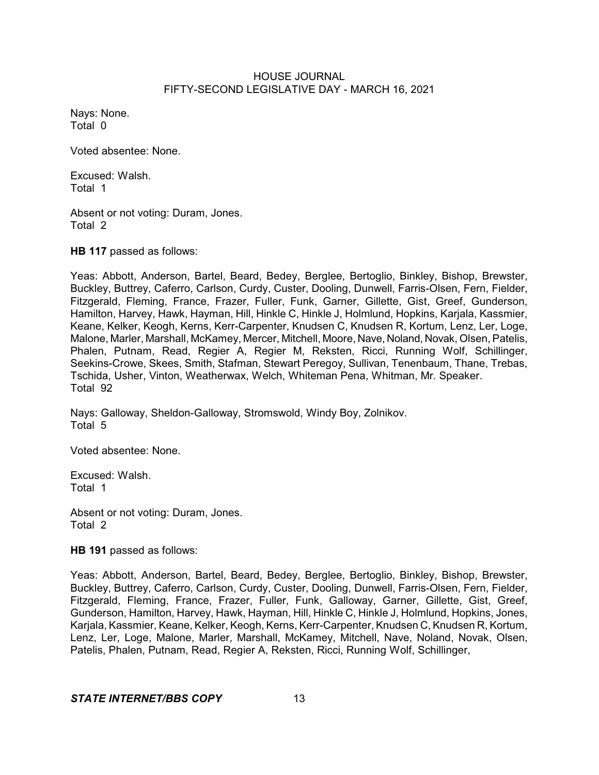Nays: None. Total 0

Voted absentee: None.

Excused: Walsh. Total 1

Absent or not voting: Duram, Jones. Total 2

**HB 117** passed as follows:

Yeas: Abbott, Anderson, Bartel, Beard, Bedey, Berglee, Bertoglio, Binkley, Bishop, Brewster, Buckley, Buttrey, Caferro, Carlson, Curdy, Custer, Dooling, Dunwell, Farris-Olsen, Fern, Fielder, Fitzgerald, Fleming, France, Frazer, Fuller, Funk, Garner, Gillette, Gist, Greef, Gunderson, Hamilton, Harvey, Hawk, Hayman, Hill, Hinkle C, Hinkle J, Holmlund, Hopkins, Karjala, Kassmier, Keane, Kelker, Keogh, Kerns, Kerr-Carpenter, Knudsen C, Knudsen R, Kortum, Lenz, Ler, Loge, Malone, Marler, Marshall, McKamey, Mercer, Mitchell, Moore, Nave, Noland, Novak, Olsen, Patelis, Phalen, Putnam, Read, Regier A, Regier M, Reksten, Ricci, Running Wolf, Schillinger, Seekins-Crowe, Skees, Smith, Stafman, Stewart Peregoy, Sullivan, Tenenbaum, Thane, Trebas, Tschida, Usher, Vinton, Weatherwax, Welch, Whiteman Pena, Whitman, Mr. Speaker. Total 92

Nays: Galloway, Sheldon-Galloway, Stromswold, Windy Boy, Zolnikov. Total 5

Voted absentee: None.

Excused: Walsh. Total 1

Absent or not voting: Duram, Jones. Total 2

**HB 191** passed as follows:

Yeas: Abbott, Anderson, Bartel, Beard, Bedey, Berglee, Bertoglio, Binkley, Bishop, Brewster, Buckley, Buttrey, Caferro, Carlson, Curdy, Custer, Dooling, Dunwell, Farris-Olsen, Fern, Fielder, Fitzgerald, Fleming, France, Frazer, Fuller, Funk, Galloway, Garner, Gillette, Gist, Greef, Gunderson, Hamilton, Harvey, Hawk, Hayman, Hill, Hinkle C, Hinkle J, Holmlund, Hopkins, Jones, Karjala, Kassmier, Keane, Kelker, Keogh, Kerns, Kerr-Carpenter, Knudsen C, Knudsen R, Kortum, Lenz, Ler, Loge, Malone, Marler, Marshall, McKamey, Mitchell, Nave, Noland, Novak, Olsen, Patelis, Phalen, Putnam, Read, Regier A, Reksten, Ricci, Running Wolf, Schillinger,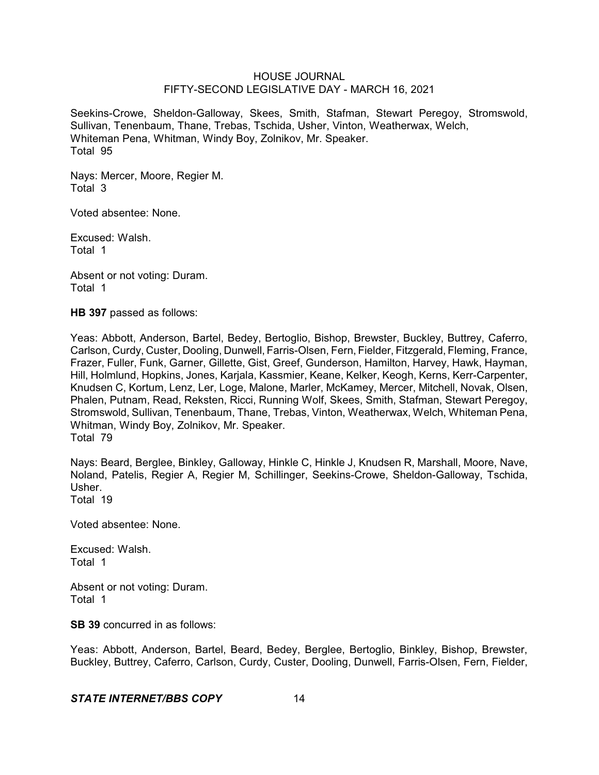Seekins-Crowe, Sheldon-Galloway, Skees, Smith, Stafman, Stewart Peregoy, Stromswold, Sullivan, Tenenbaum, Thane, Trebas, Tschida, Usher, Vinton, Weatherwax, Welch, Whiteman Pena, Whitman, Windy Boy, Zolnikov, Mr. Speaker. Total 95

Nays: Mercer, Moore, Regier M. Total 3

Voted absentee: None.

Excused: Walsh. Total 1

Absent or not voting: Duram. Total 1

**HB 397** passed as follows:

Yeas: Abbott, Anderson, Bartel, Bedey, Bertoglio, Bishop, Brewster, Buckley, Buttrey, Caferro, Carlson, Curdy, Custer, Dooling, Dunwell, Farris-Olsen, Fern, Fielder, Fitzgerald, Fleming, France, Frazer, Fuller, Funk, Garner, Gillette, Gist, Greef, Gunderson, Hamilton, Harvey, Hawk, Hayman, Hill, Holmlund, Hopkins, Jones, Karjala, Kassmier, Keane, Kelker, Keogh, Kerns, Kerr-Carpenter, Knudsen C, Kortum, Lenz, Ler, Loge, Malone, Marler, McKamey, Mercer, Mitchell, Novak, Olsen, Phalen, Putnam, Read, Reksten, Ricci, Running Wolf, Skees, Smith, Stafman, Stewart Peregoy, Stromswold, Sullivan, Tenenbaum, Thane, Trebas, Vinton, Weatherwax, Welch, Whiteman Pena, Whitman, Windy Boy, Zolnikov, Mr. Speaker. Total 79

Nays: Beard, Berglee, Binkley, Galloway, Hinkle C, Hinkle J, Knudsen R, Marshall, Moore, Nave, Noland, Patelis, Regier A, Regier M, Schillinger, Seekins-Crowe, Sheldon-Galloway, Tschida, Usher.

Total 19

Voted absentee: None.

Excused: Walsh. Total 1

Absent or not voting: Duram. Total 1

**SB 39** concurred in as follows:

Yeas: Abbott, Anderson, Bartel, Beard, Bedey, Berglee, Bertoglio, Binkley, Bishop, Brewster, Buckley, Buttrey, Caferro, Carlson, Curdy, Custer, Dooling, Dunwell, Farris-Olsen, Fern, Fielder,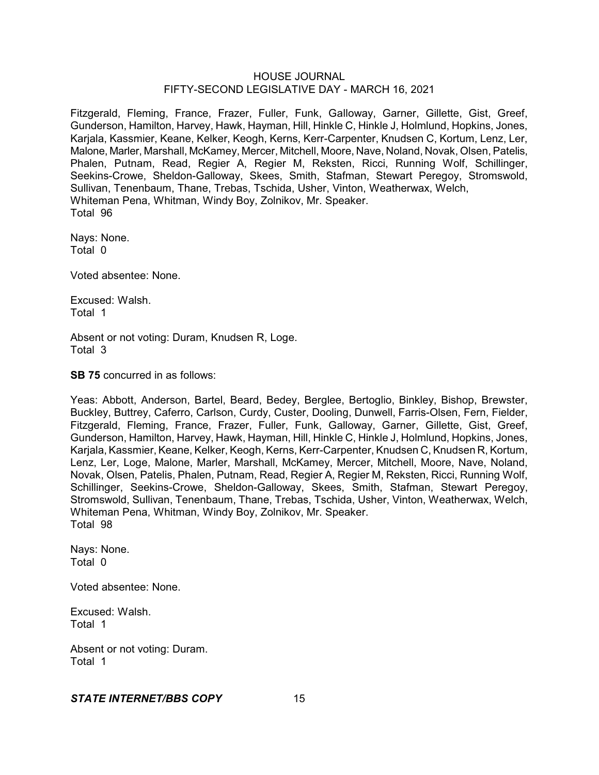Fitzgerald, Fleming, France, Frazer, Fuller, Funk, Galloway, Garner, Gillette, Gist, Greef, Gunderson, Hamilton, Harvey, Hawk, Hayman, Hill, Hinkle C, Hinkle J, Holmlund, Hopkins, Jones, Karjala, Kassmier, Keane, Kelker, Keogh, Kerns, Kerr-Carpenter, Knudsen C, Kortum, Lenz, Ler, Malone, Marler, Marshall, McKamey, Mercer, Mitchell, Moore, Nave, Noland, Novak, Olsen, Patelis, Phalen, Putnam, Read, Regier A, Regier M, Reksten, Ricci, Running Wolf, Schillinger, Seekins-Crowe, Sheldon-Galloway, Skees, Smith, Stafman, Stewart Peregoy, Stromswold, Sullivan, Tenenbaum, Thane, Trebas, Tschida, Usher, Vinton, Weatherwax, Welch, Whiteman Pena, Whitman, Windy Boy, Zolnikov, Mr. Speaker. Total 96

Nays: None. Total 0

Voted absentee: None.

Excused: Walsh. Total 1

Absent or not voting: Duram, Knudsen R, Loge. Total 3

**SB 75** concurred in as follows:

Yeas: Abbott, Anderson, Bartel, Beard, Bedey, Berglee, Bertoglio, Binkley, Bishop, Brewster, Buckley, Buttrey, Caferro, Carlson, Curdy, Custer, Dooling, Dunwell, Farris-Olsen, Fern, Fielder, Fitzgerald, Fleming, France, Frazer, Fuller, Funk, Galloway, Garner, Gillette, Gist, Greef, Gunderson, Hamilton, Harvey, Hawk, Hayman, Hill, Hinkle C, Hinkle J, Holmlund, Hopkins, Jones, Karjala, Kassmier, Keane, Kelker, Keogh, Kerns, Kerr-Carpenter, Knudsen C, Knudsen R, Kortum, Lenz, Ler, Loge, Malone, Marler, Marshall, McKamey, Mercer, Mitchell, Moore, Nave, Noland, Novak, Olsen, Patelis, Phalen, Putnam, Read, Regier A, Regier M, Reksten, Ricci, Running Wolf, Schillinger, Seekins-Crowe, Sheldon-Galloway, Skees, Smith, Stafman, Stewart Peregoy, Stromswold, Sullivan, Tenenbaum, Thane, Trebas, Tschida, Usher, Vinton, Weatherwax, Welch, Whiteman Pena, Whitman, Windy Boy, Zolnikov, Mr. Speaker. Total 98

Nays: None. Total 0

Voted absentee: None.

Excused: Walsh. Total 1

Absent or not voting: Duram. Total 1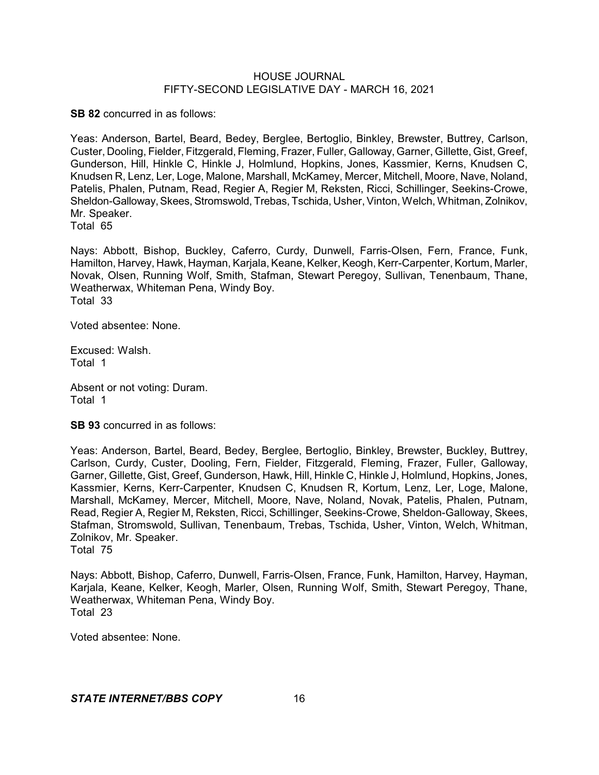**SB 82** concurred in as follows:

Yeas: Anderson, Bartel, Beard, Bedey, Berglee, Bertoglio, Binkley, Brewster, Buttrey, Carlson, Custer, Dooling, Fielder, Fitzgerald, Fleming, Frazer, Fuller, Galloway,Garner, Gillette, Gist, Greef, Gunderson, Hill, Hinkle C, Hinkle J, Holmlund, Hopkins, Jones, Kassmier, Kerns, Knudsen C, Knudsen R, Lenz, Ler, Loge, Malone, Marshall, McKamey, Mercer, Mitchell, Moore, Nave, Noland, Patelis, Phalen, Putnam, Read, Regier A, Regier M, Reksten, Ricci, Schillinger, Seekins-Crowe, Sheldon-Galloway, Skees, Stromswold, Trebas, Tschida, Usher, Vinton, Welch, Whitman, Zolnikov, Mr. Speaker.

Total 65

Nays: Abbott, Bishop, Buckley, Caferro, Curdy, Dunwell, Farris-Olsen, Fern, France, Funk, Hamilton, Harvey, Hawk, Hayman, Karjala, Keane, Kelker, Keogh, Kerr-Carpenter, Kortum, Marler, Novak, Olsen, Running Wolf, Smith, Stafman, Stewart Peregoy, Sullivan, Tenenbaum, Thane, Weatherwax, Whiteman Pena, Windy Boy. Total 33

Voted absentee: None.

Excused: Walsh. Total 1

Absent or not voting: Duram. Total 1

**SB 93** concurred in as follows:

Yeas: Anderson, Bartel, Beard, Bedey, Berglee, Bertoglio, Binkley, Brewster, Buckley, Buttrey, Carlson, Curdy, Custer, Dooling, Fern, Fielder, Fitzgerald, Fleming, Frazer, Fuller, Galloway, Garner, Gillette, Gist, Greef, Gunderson, Hawk, Hill, Hinkle C, Hinkle J, Holmlund, Hopkins, Jones, Kassmier, Kerns, Kerr-Carpenter, Knudsen C, Knudsen R, Kortum, Lenz, Ler, Loge, Malone, Marshall, McKamey, Mercer, Mitchell, Moore, Nave, Noland, Novak, Patelis, Phalen, Putnam, Read, Regier A, Regier M, Reksten, Ricci, Schillinger, Seekins-Crowe, Sheldon-Galloway, Skees, Stafman, Stromswold, Sullivan, Tenenbaum, Trebas, Tschida, Usher, Vinton, Welch, Whitman, Zolnikov, Mr. Speaker. Total 75

Nays: Abbott, Bishop, Caferro, Dunwell, Farris-Olsen, France, Funk, Hamilton, Harvey, Hayman, Karjala, Keane, Kelker, Keogh, Marler, Olsen, Running Wolf, Smith, Stewart Peregoy, Thane, Weatherwax, Whiteman Pena, Windy Boy. Total 23

Voted absentee: None.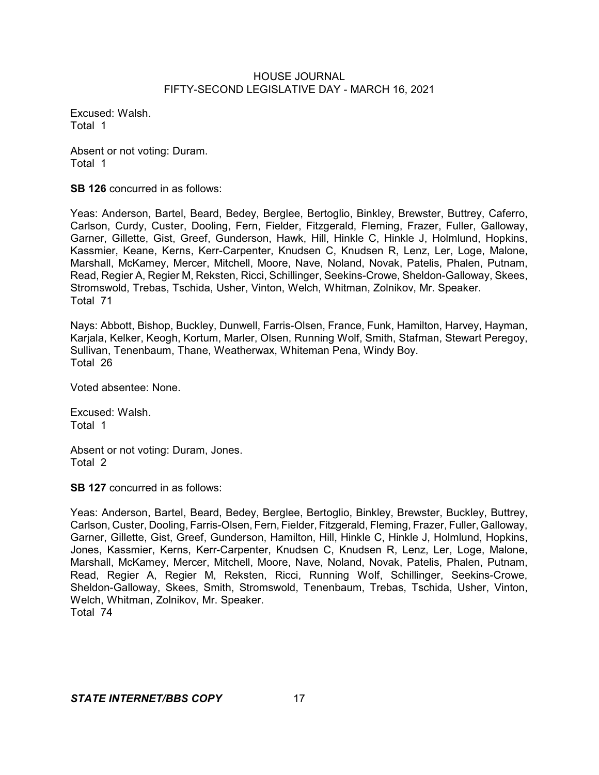Excused: Walsh. Total 1

Absent or not voting: Duram. Total 1

**SB 126** concurred in as follows:

Yeas: Anderson, Bartel, Beard, Bedey, Berglee, Bertoglio, Binkley, Brewster, Buttrey, Caferro, Carlson, Curdy, Custer, Dooling, Fern, Fielder, Fitzgerald, Fleming, Frazer, Fuller, Galloway, Garner, Gillette, Gist, Greef, Gunderson, Hawk, Hill, Hinkle C, Hinkle J, Holmlund, Hopkins, Kassmier, Keane, Kerns, Kerr-Carpenter, Knudsen C, Knudsen R, Lenz, Ler, Loge, Malone, Marshall, McKamey, Mercer, Mitchell, Moore, Nave, Noland, Novak, Patelis, Phalen, Putnam, Read, Regier A, Regier M, Reksten, Ricci, Schillinger, Seekins-Crowe, Sheldon-Galloway, Skees, Stromswold, Trebas, Tschida, Usher, Vinton, Welch, Whitman, Zolnikov, Mr. Speaker. Total 71

Nays: Abbott, Bishop, Buckley, Dunwell, Farris-Olsen, France, Funk, Hamilton, Harvey, Hayman, Karjala, Kelker, Keogh, Kortum, Marler, Olsen, Running Wolf, Smith, Stafman, Stewart Peregoy, Sullivan, Tenenbaum, Thane, Weatherwax, Whiteman Pena, Windy Boy. Total 26

Voted absentee: None.

Excused: Walsh. Total 1

Absent or not voting: Duram, Jones. Total 2

**SB 127** concurred in as follows:

Yeas: Anderson, Bartel, Beard, Bedey, Berglee, Bertoglio, Binkley, Brewster, Buckley, Buttrey, Carlson, Custer, Dooling, Farris-Olsen, Fern, Fielder, Fitzgerald, Fleming, Frazer, Fuller, Galloway, Garner, Gillette, Gist, Greef, Gunderson, Hamilton, Hill, Hinkle C, Hinkle J, Holmlund, Hopkins, Jones, Kassmier, Kerns, Kerr-Carpenter, Knudsen C, Knudsen R, Lenz, Ler, Loge, Malone, Marshall, McKamey, Mercer, Mitchell, Moore, Nave, Noland, Novak, Patelis, Phalen, Putnam, Read, Regier A, Regier M, Reksten, Ricci, Running Wolf, Schillinger, Seekins-Crowe, Sheldon-Galloway, Skees, Smith, Stromswold, Tenenbaum, Trebas, Tschida, Usher, Vinton, Welch, Whitman, Zolnikov, Mr. Speaker. Total 74